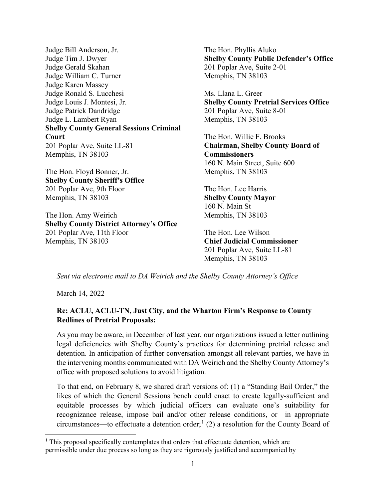Judge Bill Anderson, Jr. Judge Tim J. Dwyer Judge Gerald Skahan Judge William C. Turner Judge Karen Massey Judge Ronald S. Lucchesi Judge Louis J. Montesi, Jr. Judge Patrick Dandridge Judge L. Lambert Ryan **Shelby County General Sessions Criminal Court** 201 Poplar Ave, Suite LL-81 Memphis, TN 38103

The Hon. Floyd Bonner, Jr. **Shelby County Sheriff's Office** 201 Poplar Ave, 9th Floor Memphis, TN 38103

The Hon. Amy Weirich **Shelby County District Attorney's Office** 201 Poplar Ave, 11th Floor Memphis, TN 38103

The Hon. Phyllis Aluko **Shelby County Public Defender's Office** 201 Poplar Ave, Suite 2-01 Memphis, TN 38103

Ms. Llana L. Greer **Shelby County Pretrial Services Office** 201 Poplar Ave, Suite 8-01 Memphis, TN 38103

The Hon. Willie F. Brooks **Chairman, Shelby County Board of Commissioners** 160 N. Main Street, Suite 600 Memphis, TN 38103

The Hon. Lee Harris **Shelby County Mayor** 160 N. Main St Memphis, TN 38103

The Hon. Lee Wilson **Chief Judicial Commissioner** 201 Poplar Ave, Suite LL-81 Memphis, TN 38103

*Sent via electronic mail to DA Weirich and the Shelby County Attorney's Office* 

March 14, 2022

l

#### **Re: ACLU, ACLU-TN, Just City, and the Wharton Firm's Response to County Redlines of Pretrial Proposals:**

As you may be aware, in December of last year, our organizations issued a letter outlining legal deficiencies with Shelby County's practices for determining pretrial release and detention. In anticipation of further conversation amongst all relevant parties, we have in the intervening months communicated with DA Weirich and the Shelby County Attorney's office with proposed solutions to avoid litigation.

To that end, on February 8, we shared draft versions of: (1) a "Standing Bail Order," the likes of which the General Sessions bench could enact to create legally-sufficient and equitable processes by which judicial officers can evaluate one's suitability for recognizance release, impose bail and/or other release conditions, or—in appropriate circumstances—to effectuate a detention order;<sup>[1](#page-0-0)</sup> (2) a resolution for the County Board of

<span id="page-0-0"></span> $<sup>1</sup>$  This proposal specifically contemplates that orders that effectuate detention, which are</sup> permissible under due process so long as they are rigorously justified and accompanied by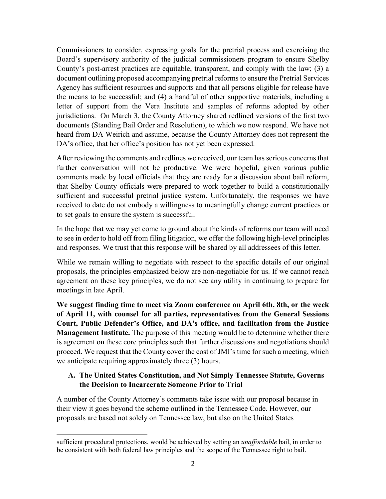Commissioners to consider, expressing goals for the pretrial process and exercising the Board's supervisory authority of the judicial commissioners program to ensure Shelby County's post-arrest practices are equitable, transparent, and comply with the law; (3) a document outlining proposed accompanying pretrial reforms to ensure the Pretrial Services Agency has sufficient resources and supports and that all persons eligible for release have the means to be successful; and (4) a handful of other supportive materials, including a letter of support from the Vera Institute and samples of reforms adopted by other jurisdictions. On March 3, the County Attorney shared redlined versions of the first two documents (Standing Bail Order and Resolution), to which we now respond. We have not heard from DA Weirich and assume, because the County Attorney does not represent the DA's office, that her office's position has not yet been expressed.

After reviewing the comments and redlines we received, our team has serious concerns that further conversation will not be productive. We were hopeful, given various public comments made by local officials that they are ready for a discussion about bail reform, that Shelby County officials were prepared to work together to build a constitutionally sufficient and successful pretrial justice system. Unfortunately, the responses we have received to date do not embody a willingness to meaningfully change current practices or to set goals to ensure the system is successful.

In the hope that we may yet come to ground about the kinds of reforms our team will need to see in order to hold off from filing litigation, we offer the following high-level principles and responses. We trust that this response will be shared by all addressees of this letter.

While we remain willing to negotiate with respect to the specific details of our original proposals, the principles emphasized below are non-negotiable for us. If we cannot reach agreement on these key principles, we do not see any utility in continuing to prepare for meetings in late April.

**We suggest finding time to meet via Zoom conference on April 6th, 8th, or the week of April 11, with counsel for all parties, representatives from the General Sessions Court, Public Defender's Office, and DA's office, and facilitation from the Justice Management Institute.** The purpose of this meeting would be to determine whether there is agreement on these core principles such that further discussions and negotiations should proceed. We request that the County cover the cost of JMI's time for such a meeting, which we anticipate requiring approximately three (3) hours.

## **A. The United States Constitution, and Not Simply Tennessee Statute, Governs the Decision to Incarcerate Someone Prior to Trial**

A number of the County Attorney's comments take issue with our proposal because in their view it goes beyond the scheme outlined in the Tennessee Code. However, our proposals are based not solely on Tennessee law, but also on the United States

l

sufficient procedural protections, would be achieved by setting an *unaffordable* bail, in order to be consistent with both federal law principles and the scope of the Tennessee right to bail.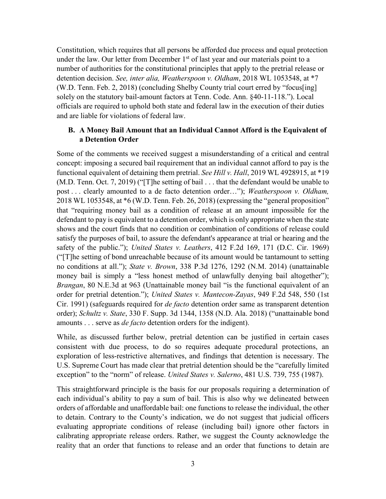Constitution, which requires that all persons be afforded due process and equal protection under the law. Our letter from December  $1<sup>st</sup>$  of last year and our materials point to a number of authorities for the constitutional principles that apply to the pretrial release or detention decision. *See, inter alia, Weatherspoon v. Oldham*, 2018 WL 1053548, at \*7 (W.D. Tenn. Feb. 2, 2018) (concluding Shelby County trial court erred by "focus[ing] solely on the statutory bail-amount factors at Tenn. Code. Ann. §40-11-118."). Local officials are required to uphold both state and federal law in the execution of their duties and are liable for violations of federal law.

### **B. A Money Bail Amount that an Individual Cannot Afford is the Equivalent of a Detention Order**

Some of the comments we received suggest a misunderstanding of a critical and central concept: imposing a secured bail requirement that an individual cannot afford to pay is the functional equivalent of detaining them pretrial. *See Hill v. Hall*, 2019 WL 4928915, at \*19 (M.D. Tenn. Oct. 7, 2019) ("[T]he setting of bail . . . that the defendant would be unable to post . . . clearly amounted to a de facto detention order…"); *Weatherspoon v. Oldham,* 2018 WL 1053548, at \*6 (W.D. Tenn. Feb. 26, 2018) (expressing the "general proposition" that "requiring money bail as a condition of release at an amount impossible for the defendant to pay is equivalent to a detention order, which is only appropriate when the state shows and the court finds that no condition or combination of conditions of release could satisfy the purposes of bail, to assure the defendant's appearance at trial or hearing and the safety of the public."); *United States v. Leathers*, 412 F.2d 169, 171 (D.C. Cir. 1969) ("[T]he setting of bond unreachable because of its amount would be tantamount to setting no conditions at all."); *State v. Brown*, 338 P.3d 1276, 1292 (N.M. 2014) (unattainable money bail is simply a "less honest method of unlawfully denying bail altogether"); *Brangan*, 80 N.E.3d at 963 (Unattainable money bail "is the functional equivalent of an order for pretrial detention."); *United States v. Mantecon-Zayas*, 949 F.2d 548, 550 (1st Cir. 1991) (safeguards required for *de facto* detention order same as transparent detention order); *Schultz v. State*, 330 F. Supp. 3d 1344, 1358 (N.D. Ala. 2018) ("unattainable bond amounts . . . serve as *de facto* detention orders for the indigent).

While, as discussed further below, pretrial detention can be justified in certain cases consistent with due process, to do so requires adequate procedural protections, an exploration of less-restrictive alternatives, and findings that detention is necessary. The U.S. Supreme Court has made clear that pretrial detention should be the "carefully limited exception" to the "norm" of release. *United States v. Salerno*, 481 U.S. 739, 755 (1987).

This straightforward principle is the basis for our proposals requiring a determination of each individual's ability to pay a sum of bail. This is also why we delineated between orders of affordable and unaffordable bail: one functions to release the individual, the other to detain. Contrary to the County's indication, we do not suggest that judicial officers evaluating appropriate conditions of release (including bail) ignore other factors in calibrating appropriate release orders. Rather, we suggest the County acknowledge the reality that an order that functions to release and an order that functions to detain are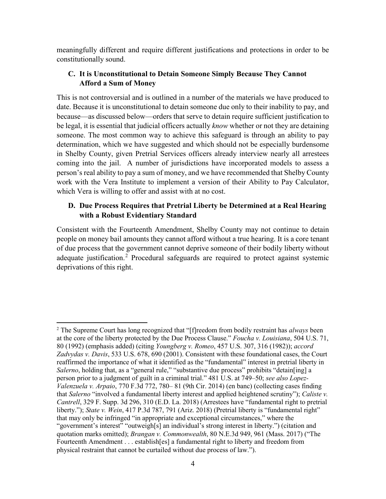meaningfully different and require different justifications and protections in order to be constitutionally sound.

# **C. It is Unconstitutional to Detain Someone Simply Because They Cannot Afford a Sum of Money**

This is not controversial and is outlined in a number of the materials we have produced to date. Because it is unconstitutional to detain someone due only to their inability to pay, and because—as discussed below—orders that serve to detain require sufficient justification to be legal, it is essential that judicial officers actually *know* whether or not they are detaining someone. The most common way to achieve this safeguard is through an ability to pay determination, which we have suggested and which should not be especially burdensome in Shelby County, given Pretrial Services officers already interview nearly all arrestees coming into the jail. A number of jurisdictions have incorporated models to assess a person's real ability to pay a sum of money, and we have recommended that Shelby County work with the Vera Institute to implement a version of their Ability to Pay Calculator, which Vera is willing to offer and assist with at no cost.

## **D. Due Process Requires that Pretrial Liberty be Determined at a Real Hearing with a Robust Evidentiary Standard**

Consistent with the Fourteenth Amendment, Shelby County may not continue to detain people on money bail amounts they cannot afford without a true hearing. It is a core tenant of due process that the government cannot deprive someone of their bodily liberty without adequate justification.<sup>[2](#page-3-0)</sup> Procedural safeguards are required to protect against systemic deprivations of this right.

l

<span id="page-3-0"></span><sup>2</sup> The Supreme Court has long recognized that "[f]reedom from bodily restraint has *always* been at the core of the liberty protected by the Due Process Clause." *Foucha v. Louisiana*, 504 U.S. 71, 80 (1992) (emphasis added) (citing *Youngberg v. Romeo*, 457 U.S. 307, 316 (1982)); *accord Zadvydas v. Davis*, 533 U.S. 678, 690 (2001). Consistent with these foundational cases, the Court reaffirmed the importance of what it identified as the "fundamental" interest in pretrial liberty in *Salerno*, holding that, as a "general rule," "substantive due process" prohibits "detain[ing] a person prior to a judgment of guilt in a criminal trial." 481 U.S. at 749–50; *see also Lopez-Valenzuela v. Arpaio*, 770 F.3d 772, 780– 81 (9th Cir. 2014) (en banc) (collecting cases finding that *Salerno* "involved a fundamental liberty interest and applied heightened scrutiny"); *Caliste v. Cantrell*, 329 F. Supp. 3d 296, 310 (E.D. La. 2018) (Arrestees have "fundamental right to pretrial liberty."); *State v. Wein*, 417 P.3d 787, 791 (Ariz. 2018) (Pretrial liberty is "fundamental right" that may only be infringed "in appropriate and exceptional circumstances," where the "government's interest" "outweigh[s] an individual's strong interest in liberty.") (citation and quotation marks omitted); *Brangan v. Commonwealth*, 80 N.E.3d 949, 961 (Mass. 2017) ("The Fourteenth Amendment . . . establish[es] a fundamental right to liberty and freedom from physical restraint that cannot be curtailed without due process of law.").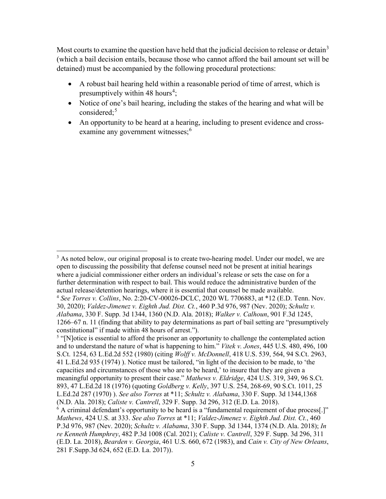Most courts to examine the question have held that the judicial decision to release or detain<sup>[3](#page-4-0)</sup> (which a bail decision entails, because those who cannot afford the bail amount set will be detained) must be accompanied by the following procedural protections:

- A robust bail hearing held within a reasonable period of time of arrest, which is presumptively within [4](#page-4-1)8 hours<sup>4</sup>;
- Notice of one's bail hearing, including the stakes of the hearing and what will be considered; [5](#page-4-2)
- An opportunity to be heard at a hearing, including to present evidence and cross-examine any government witnesses;<sup>[6](#page-4-3)</sup>

 $\overline{\phantom{a}}$ 

<span id="page-4-0"></span> $3$  As noted below, our original proposal is to create two-hearing model. Under our model, we are open to discussing the possibility that defense counsel need not be present at initial hearings where a judicial commissioner either orders an individual's release or sets the case on for a further determination with respect to bail. This would reduce the administrative burden of the actual release/detention hearings, where it is essential that counsel be made available.

<span id="page-4-1"></span><sup>4</sup> *See Torres v. Collins*, No. 2:20-CV-00026-DCLC, 2020 WL 7706883, at \*12 (E.D. Tenn. Nov. 30, 2020); *Valdez-Jimenez v. Eighth Jud. Dist. Ct.*, 460 P.3d 976, 987 (Nev. 2020); *Schultz v. Alabama*, 330 F. Supp. 3d 1344, 1360 (N.D. Ala. 2018); *Walker v. Calhoun*, 901 F.3d 1245, 1266–67 n. 11 (finding that ability to pay determinations as part of bail setting are "presumptively constitutional" if made within 48 hours of arrest.").

<span id="page-4-2"></span><sup>&</sup>lt;sup>5</sup> "[N]otice is essential to afford the prisoner an opportunity to challenge the contemplated action and to understand the nature of what is happening to him." *Vitek v. Jones*, 445 U.S. 480, 496, 100 S.Ct. 1254, 63 L.Ed.2d 552 (1980) (citing *Wolff v. McDonnell*, 418 U.S. 539, 564, 94 S.Ct. 2963, 41 L.Ed.2d 935 (1974) ). Notice must be tailored, "in light of the decision to be made, to 'the capacities and circumstances of those who are to be heard,' to insure that they are given a meaningful opportunity to present their case." *Mathews v. Eldridge*, 424 U.S. 319, 349, 96 S.Ct. 893, 47 L.Ed.2d 18 (1976) (quoting *Goldberg v. Kelly*, 397 U.S. 254, 268-69, 90 S.Ct. 1011, 25 L.Ed.2d 287 (1970) ). *See also Torres* at \*11; *Schultz v. Alabama*, 330 F. Supp. 3d 1344,1368 (N.D. Ala. 2018); *Caliste v. Cantrell*, 329 F. Supp. 3d 296, 312 (E.D. La. 2018).

<span id="page-4-3"></span> $6$  A criminal defendant's opportunity to be heard is a "fundamental requirement of due process.]" *Mathews*, 424 U.S. at 333. *See also Torres* at \*11; *Valdez-Jimenez v. Eighth Jud. Dist. Ct.*, 460 P.3d 976, 987 (Nev. 2020); *Schultz v. Alabama*, 330 F. Supp. 3d 1344, 1374 (N.D. Ala. 2018); *In re Kenneth Humphrey*, 482 P.3d 1008 (Cal. 2021); *Caliste v. Cantrell*, 329 F. Supp. 3d 296, 311 (E.D. La. 2018), *Bearden v. Georgia*, 461 U.S. 660, 672 (1983), and *Cain v. City of New Orleans*, 281 F.Supp.3d 624, 652 (E.D. La. 2017)).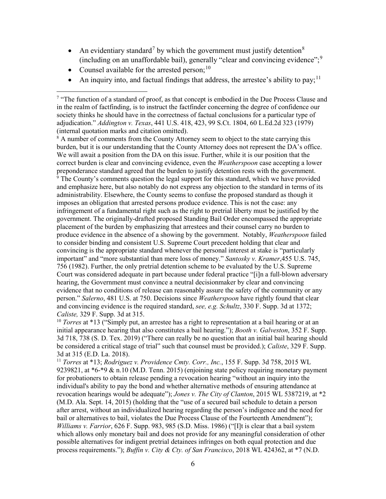- An evidentiary standard<sup>[7](#page-5-0)</sup> by which the government must justify detention<sup>[8](#page-5-1)</sup> (including on an unaffordable bail), generally "clear and convincing evidence"; [9](#page-5-2)
- Counsel available for the arrested person;  $10$

l

• An inquiry into, and factual findings that address, the arrestee's ability to pay;<sup>[11](#page-5-4)</sup>

<span id="page-5-2"></span><span id="page-5-1"></span> $8$  A number of comments from the County Attorney seem to object to the state carrying this burden, but it is our understanding that the County Attorney does not represent the DA's office. We will await a position from the DA on this issue. Further, while it is our position that the correct burden is clear and convincing evidence, even the *Weatherspoon* case accepting a lower preponderance standard agreed that the burden to justify detention rests with the government.  $9$  The County's comments question the legal support for this standard, which we have provided and emphasize here, but also notably do not express any objection to the standard in terms of its administrability. Elsewhere, the County seems to confuse the proposed standard as though it imposes an obligation that arrested persons produce evidence. This is not the case: any infringement of a fundamental right such as the right to pretrial liberty must be justified by the government. The originally-drafted proposed Standing Bail Order encompassed the appropriate placement of the burden by emphasizing that arrestees and their counsel carry no burden to produce evidence in the absence of a showing by the government. Notably, *Weatherspoon* failed to consider binding and consistent U.S. Supreme Court precedent holding that clear and convincing is the appropriate standard whenever the personal interest at stake is "particularly important" and "more substantial than mere loss of money." *Santosky v. Kramer*,455 U.S. 745, 756 (1982). Further, the only pretrial detention scheme to be evaluated by the U.S. Supreme Court was considered adequate in part because under federal practice "[i]n a full-blown adversary hearing, the Government must convince a neutral decisionmaker by clear and convincing evidence that no conditions of release can reasonably assure the safety of the community or any person." *Salerno*, 481 U.S. at 750. Decisions since *Weatherspoon* have rightly found that clear and convincing evidence is the required standard, *see, e.g. Schultz*, 330 F. Supp. 3d at 1372; *Caliste,* 329 F. Supp. 3d at 315.

<span id="page-5-3"></span><sup>10</sup> *Torres* at \*13 ("Simply put, an arrestee has a right to representation at a bail hearing or at an initial appearance hearing that also constitutes a bail hearing."); *Booth v. Galveston*, 352 F. Supp. 3d 718, 738 (S. D. Tex. 2019) ("There can really be no question that an initial bail hearing should be considered a critical stage of trial" such that counsel must be provided.); *Caliste*, 329 F. Supp. 3d at 315 (E.D. La. 2018).

<span id="page-5-4"></span><sup>11</sup> *Torres* at \*13; *Rodriguez v. Providence Cmty. Corr., Inc.*, 155 F. Supp. 3d 758, 2015 WL 9239821, at  $*6-*9$  & n.10 (M.D. Tenn. 2015) (enjoining state policy requiring monetary payment for probationers to obtain release pending a revocation hearing "without an inquiry into the individual's ability to pay the bond and whether alternative methods of ensuring attendance at revocation hearings would be adequate"); *Jones v. The City of Clanton*, 2015 WL 5387219, at \*2 (M.D. Ala. Sept. 14, 2015) (holding that the "use of a secured bail schedule to detain a person after arrest, without an individualized hearing regarding the person's indigence and the need for bail or alternatives to bail, violates the Due Process Clause of the Fourteenth Amendment"); *Williams v. Farrior*, 626 F. Supp. 983, 985 (S.D. Miss. 1986) ("[I]t is clear that a bail system which allows only monetary bail and does not provide for any meaningful consideration of other possible alternatives for indigent pretrial detainees infringes on both equal protection and due process requirements."); *Buffin v. City & Cty. of San Francisco*, 2018 WL 424362, at \*7 (N.D.

<span id="page-5-0"></span><sup>&</sup>lt;sup>7</sup> "The function of a standard of proof, as that concept is embodied in the Due Process Clause and in the realm of factfinding, is to instruct the factfinder concerning the degree of confidence our society thinks he should have in the correctness of factual conclusions for a particular type of adjudication." *Addington v. Texas*, 441 U.S. 418, 423, 99 S.Ct. 1804, 60 L.Ed.2d 323 (1979) (internal quotation marks and citation omitted).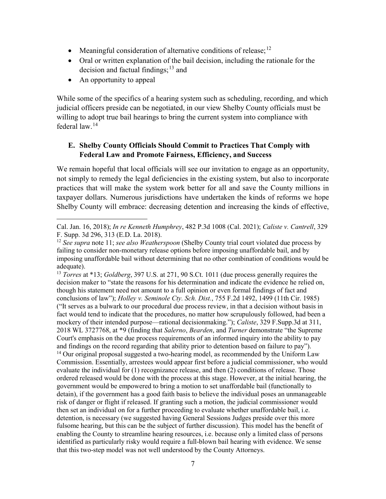- Meaningful consideration of alternative conditions of release;<sup>[12](#page-6-0)</sup>
- Oral or written explanation of the bail decision, including the rationale for the decision and factual findings;<sup>[13](#page-6-1)</sup> and
- An opportunity to appeal

While some of the specifics of a hearing system such as scheduling, recording, and which judicial officers preside can be negotiated, in our view Shelby County officials must be willing to adopt true bail hearings to bring the current system into compliance with federal law.[14](#page-6-2)

## **E. Shelby County Officials Should Commit to Practices That Comply with Federal Law and Promote Fairness, Efficiency, and Success**

We remain hopeful that local officials will see our invitation to engage as an opportunity, not simply to remedy the legal deficiencies in the existing system, but also to incorporate practices that will make the system work better for all and save the County millions in taxpayer dollars. Numerous jurisdictions have undertaken the kinds of reforms we hope Shelby County will embrace: decreasing detention and increasing the kinds of effective,

<span id="page-6-2"></span><span id="page-6-1"></span><sup>13</sup> *Torres* at \*13; *Goldberg*, 397 U.S. at 271, 90 S.Ct. 1011 (due process generally requires the decision maker to "state the reasons for his determination and indicate the evidence he relied on, though his statement need not amount to a full opinion or even formal findings of fact and conclusions of law"); *Holley v. Seminole Cty. Sch. Dist.*, 755 F.2d 1492, 1499 (11th Cir. 1985) ("It serves as a bulwark to our procedural due process review, in that a decision without basis in fact would tend to indicate that the procedures, no matter how scrupulously followed, had been a mockery of their intended purpose—rational decisionmaking."); *Caliste*, 329 F.Supp.3d at 311, 2018 WL 3727768, at \*9 (finding that *Salerno*, *Bearden*, and *Turner* demonstrate "the Supreme Court's emphasis on the due process requirements of an informed inquiry into the ability to pay and findings on the record regarding that ability prior to detention based on failure to pay").  $14$  Our original proposal suggested a two-hearing model, as recommended by the Uniform Law Commission. Essentially, arrestees would appear first before a judicial commissioner, who would evaluate the individual for (1) recognizance release, and then (2) conditions of release. Those ordered released would be done with the process at this stage. However, at the initial hearing, the government would be empowered to bring a motion to set unaffordable bail (functionally to detain), if the government has a good faith basis to believe the individual poses an unmanageable risk of danger or flight if released. If granting such a motion, the judicial commissioner would then set an individual on for a further proceeding to evaluate whether unaffordable bail, i.e. detention, is necessary (we suggested having General Sessions Judges preside over this more fulsome hearing, but this can be the subject of further discussion). This model has the benefit of enabling the County to streamline hearing resources, i.e. because only a limited class of persons identified as particularly risky would require a full-blown bail hearing with evidence. We sense that this two-step model was not well understood by the County Attorneys.

 $\overline{\phantom{a}}$ Cal. Jan. 16, 2018); *In re Kenneth Humphrey*, 482 P.3d 1008 (Cal. 2021); *Caliste v. Cantrell*, 329 F. Supp. 3d 296, 313 (E.D. La. 2018).

<span id="page-6-0"></span><sup>12</sup> *See supra* note 11; *see also Weatherspoon* (Shelby County trial court violated due process by failing to consider non-monetary release options before imposing unaffordable bail, and by imposing unaffordable bail without determining that no other combination of conditions would be adequate).